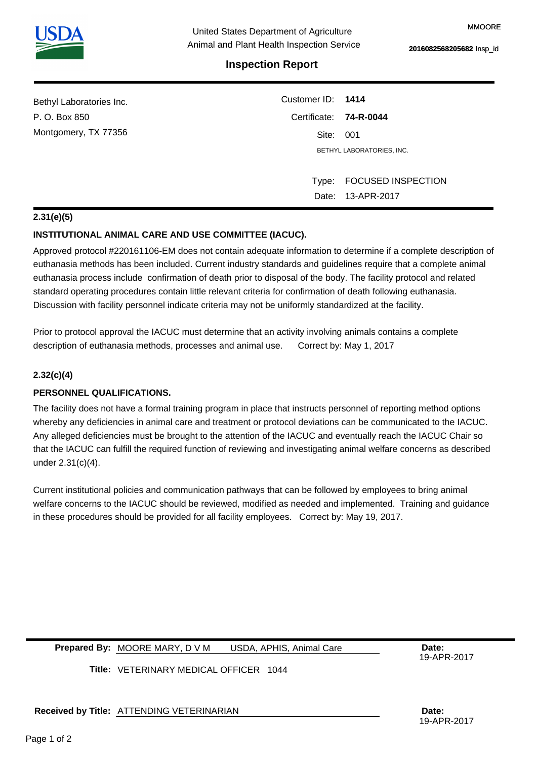# **Inspection Report**

| Customer ID: 1414      |                           |  |
|------------------------|---------------------------|--|
| Certificate: 74-R-0044 |                           |  |
| Site: 001              |                           |  |
|                        | BETHYL LABORATORIES, INC. |  |
|                        |                           |  |
| Type:                  | <b>FOCUSED INSPECTION</b> |  |
|                        | Date: 13-APR-2017         |  |
|                        |                           |  |

## **2.31(e)(5)**

## **INSTITUTIONAL ANIMAL CARE AND USE COMMITTEE (IACUC).**

Approved protocol #220161106-EM does not contain adequate information to determine if a complete description of euthanasia methods has been included. Current industry standards and guidelines require that a complete animal euthanasia process include confirmation of death prior to disposal of the body. The facility protocol and related standard operating procedures contain little relevant criteria for confirmation of death following euthanasia. Discussion with facility personnel indicate criteria may not be uniformly standardized at the facility.

Prior to protocol approval the IACUC must determine that an activity involving animals contains a complete description of euthanasia methods, processes and animal use. Correct by: May 1, 2017

### **2.32(c)(4)**

#### **PERSONNEL QUALIFICATIONS.**

The facility does not have a formal training program in place that instructs personnel of reporting method options whereby any deficiencies in animal care and treatment or protocol deviations can be communicated to the IACUC. Any alleged deficiencies must be brought to the attention of the IACUC and eventually reach the IACUC Chair so that the IACUC can fulfill the required function of reviewing and investigating animal welfare concerns as described under 2.31(c)(4).

Current institutional policies and communication pathways that can be followed by employees to bring animal welfare concerns to the IACUC should be reviewed, modified as needed and implemented. Training and guidance in these procedures should be provided for all facility employees. Correct by: May 19, 2017.

#### **Prepared By:** MOORE MARY, D V M USDA, APHIS, Animal Care **Date:** Date: USDA, APHIS, Animal Care

19-APR-2017

**Title:**  VETERINARY MEDICAL OFFICER 1044

**Received by Title: Date:**  ATTENDING VETERINARIAN

19-APR-2017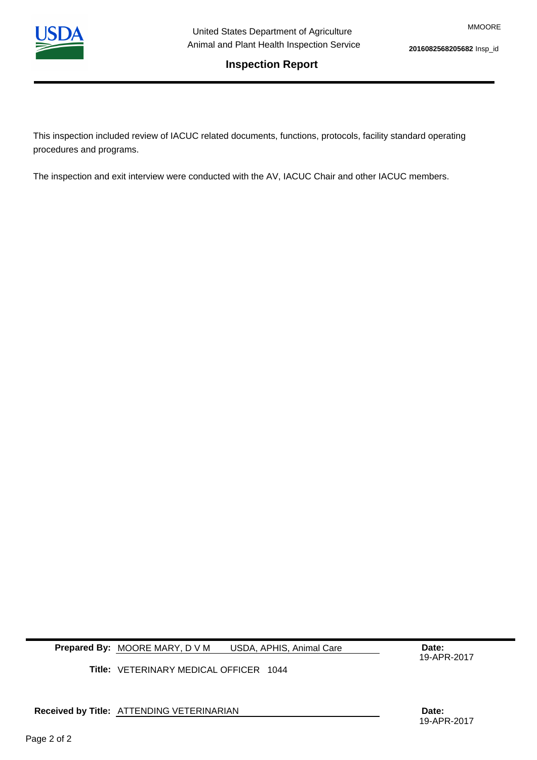

**Inspection Report**

MMOORE

# **2016082568205682** Insp\_id

This inspection included review of IACUC related documents, functions, protocols, facility standard operating procedures and programs.

The inspection and exit interview were conducted with the AV, IACUC Chair and other IACUC members.

**Prepared By: MOORE MARY, D V M USDA, APHIS, Animal Care Care Date:** USDA, APHIS, Animal Care

19-APR-2017

**Title:**  VETERINARY MEDICAL OFFICER 1044

**Received by Title: Date:**  ATTENDING VETERINARIAN

Page 2 of 2

19-APR-2017